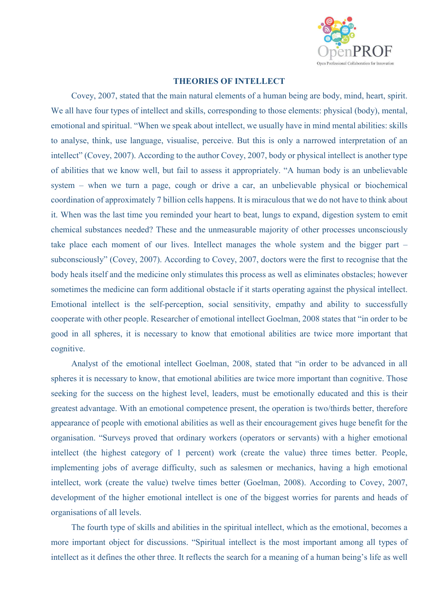

## **THEORIES OF INTELLECT**

Covey, 2007, stated that the main natural elements of a human being are body, mind, heart, spirit. We all have four types of intellect and skills, corresponding to those elements: physical (body), mental, emotional and spiritual. "When we speak about intellect, we usually have in mind mental abilities: skills to analyse, think, use language, visualise, perceive. But this is only a narrowed interpretation of an intellect" (Covey, 2007). According to the author Covey, 2007, body or physical intellect is another type of abilities that we know well, but fail to assess it appropriately. "A human body is an unbelievable system – when we turn a page, cough or drive a car, an unbelievable physical or biochemical coordination of approximately 7 billion cells happens. It is miraculous that we do not have to think about it. When was the last time you reminded your heart to beat, lungs to expand, digestion system to emit chemical substances needed? These and the unmeasurable majority of other processes unconsciously take place each moment of our lives. Intellect manages the whole system and the bigger part – subconsciously" (Covey, 2007). According to Covey, 2007, doctors were the first to recognise that the body heals itself and the medicine only stimulates this process as well as eliminates obstacles; however sometimes the medicine can form additional obstacle if it starts operating against the physical intellect. Emotional intellect is the self-perception, social sensitivity, empathy and ability to successfully cooperate with other people. Researcher of emotional intellect Goelman, 2008 states that "in order to be good in all spheres, it is necessary to know that emotional abilities are twice more important that cognitive.

Analyst of the emotional intellect Goelman, 2008, stated that "in order to be advanced in all spheres it is necessary to know, that emotional abilities are twice more important than cognitive. Those seeking for the success on the highest level, leaders, must be emotionally educated and this is their greatest advantage. With an emotional competence present, the operation is two/thirds better, therefore appearance of people with emotional abilities as well as their encouragement gives huge benefit for the organisation. "Surveys proved that ordinary workers (operators or servants) with a higher emotional intellect (the highest category of 1 percent) work (create the value) three times better. People, implementing jobs of average difficulty, such as salesmen or mechanics, having a high emotional intellect, work (create the value) twelve times better (Goelman, 2008). According to Covey, 2007, development of the higher emotional intellect is one of the biggest worries for parents and heads of organisations of all levels.

The fourth type of skills and abilities in the spiritual intellect, which as the emotional, becomes a more important object for discussions. "Spiritual intellect is the most important among all types of intellect as it defines the other three. It reflects the search for a meaning of a human being's life as well